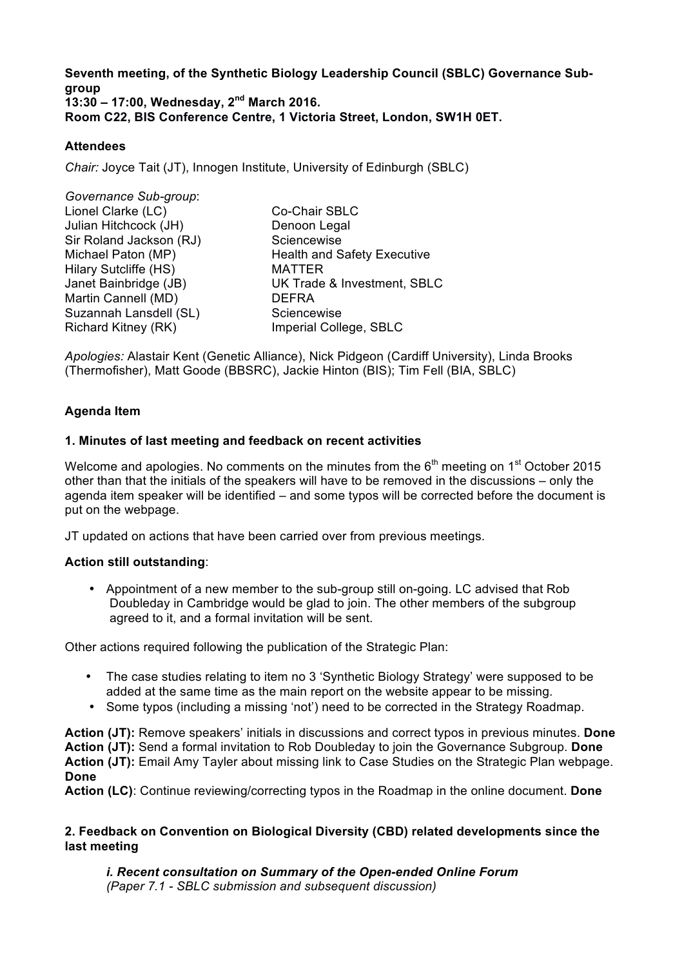**Seventh meeting, of the Synthetic Biology Leadership Council (SBLC) Governance Subgroup 13:30 – 17:00, Wednesday, 2nd March 2016. Room C22, BIS Conference Centre, 1 Victoria Street, London, SW1H 0ET.** 

## **Attendees**

*Chair:* Joyce Tait (JT), Innogen Institute, University of Edinburgh (SBLC)

| Governance Sub-group:   |                                    |
|-------------------------|------------------------------------|
| Lionel Clarke (LC)      | Co-Chair SBLC                      |
| Julian Hitchcock (JH)   | Denoon Legal                       |
| Sir Roland Jackson (RJ) | Sciencewise                        |
| Michael Paton (MP)      | <b>Health and Safety Executive</b> |
| Hilary Sutcliffe (HS)   | <b>MATTER</b>                      |
| Janet Bainbridge (JB)   | UK Trade & Investment, SBLC        |
| Martin Cannell (MD)     | <b>DEFRA</b>                       |
| Suzannah Lansdell (SL)  | Sciencewise                        |
| Richard Kitney (RK)     | Imperial College, SBLC             |

*Apologies:* Alastair Kent (Genetic Alliance), Nick Pidgeon (Cardiff University), Linda Brooks (Thermofisher), Matt Goode (BBSRC), Jackie Hinton (BIS); Tim Fell (BIA, SBLC)

## **Agenda Item**

### **1. Minutes of last meeting and feedback on recent activities**

Welcome and apologies. No comments on the minutes from the  $6<sup>th</sup>$  meeting on 1<sup>st</sup> October 2015 other than that the initials of the speakers will have to be removed in the discussions – only the agenda item speaker will be identified – and some typos will be corrected before the document is put on the webpage.

JT updated on actions that have been carried over from previous meetings.

### **Action still outstanding**:

• Appointment of a new member to the sub-group still on-going. LC advised that Rob Doubleday in Cambridge would be glad to join. The other members of the subgroup agreed to it, and a formal invitation will be sent.

Other actions required following the publication of the Strategic Plan:

- The case studies relating to item no 3 'Synthetic Biology Strategy' were supposed to be added at the same time as the main report on the website appear to be missing.
- Some typos (including a missing 'not') need to be corrected in the Strategy Roadmap.

**Action (JT):** Remove speakers' initials in discussions and correct typos in previous minutes. **Done Action (JT):** Send a formal invitation to Rob Doubleday to join the Governance Subgroup. **Done Action (JT):** Email Amy Tayler about missing link to Case Studies on the Strategic Plan webpage. **Done**

**Action (LC)**: Continue reviewing/correcting typos in the Roadmap in the online document. **Done**

#### **2. Feedback on Convention on Biological Diversity (CBD) related developments since the last meeting**

*i. Recent consultation on Summary of the Open-ended Online Forum (Paper 7.1 - SBLC submission and subsequent discussion)*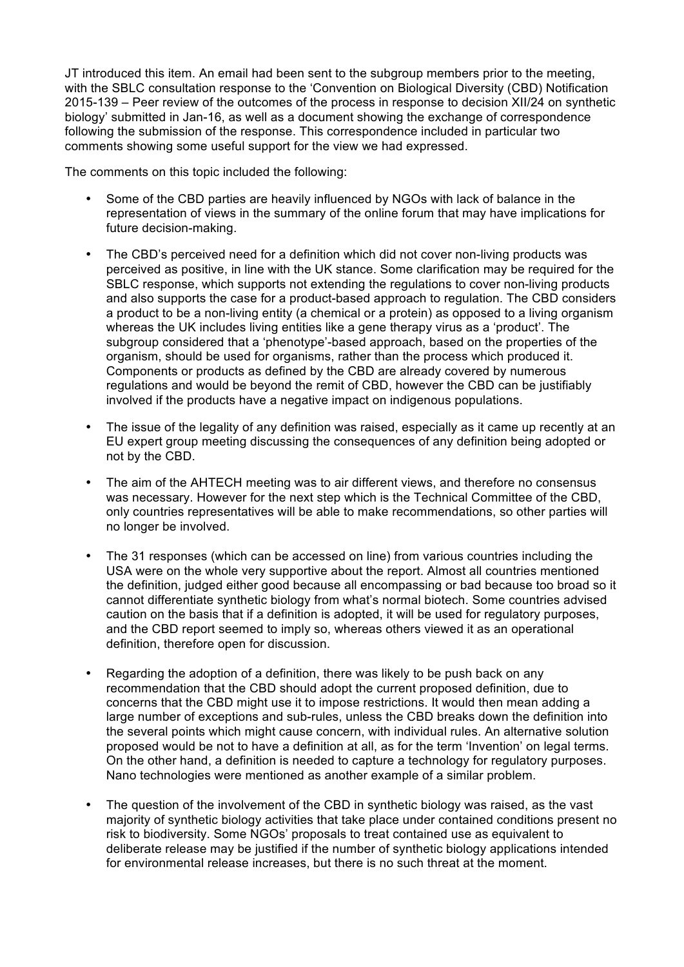JT introduced this item. An email had been sent to the subgroup members prior to the meeting, with the SBLC consultation response to the 'Convention on Biological Diversity (CBD) Notification 2015-139 – Peer review of the outcomes of the process in response to decision XII/24 on synthetic biology' submitted in Jan-16, as well as a document showing the exchange of correspondence following the submission of the response. This correspondence included in particular two comments showing some useful support for the view we had expressed.

The comments on this topic included the following:

- Some of the CBD parties are heavily influenced by NGOs with lack of balance in the representation of views in the summary of the online forum that may have implications for future decision-making.
- The CBD's perceived need for a definition which did not cover non-living products was perceived as positive, in line with the UK stance. Some clarification may be required for the SBLC response, which supports not extending the regulations to cover non-living products and also supports the case for a product-based approach to regulation. The CBD considers a product to be a non-living entity (a chemical or a protein) as opposed to a living organism whereas the UK includes living entities like a gene therapy virus as a 'product'. The subgroup considered that a 'phenotype'-based approach, based on the properties of the organism, should be used for organisms, rather than the process which produced it. Components or products as defined by the CBD are already covered by numerous regulations and would be beyond the remit of CBD, however the CBD can be justifiably involved if the products have a negative impact on indigenous populations.
- The issue of the legality of any definition was raised, especially as it came up recently at an EU expert group meeting discussing the consequences of any definition being adopted or not by the CBD.
- The aim of the AHTECH meeting was to air different views, and therefore no consensus was necessary. However for the next step which is the Technical Committee of the CBD, only countries representatives will be able to make recommendations, so other parties will no longer be involved.
- The 31 responses (which can be accessed on line) from various countries including the USA were on the whole very supportive about the report. Almost all countries mentioned the definition, judged either good because all encompassing or bad because too broad so it cannot differentiate synthetic biology from what's normal biotech. Some countries advised caution on the basis that if a definition is adopted, it will be used for regulatory purposes, and the CBD report seemed to imply so, whereas others viewed it as an operational definition, therefore open for discussion.
- Regarding the adoption of a definition, there was likely to be push back on any recommendation that the CBD should adopt the current proposed definition, due to concerns that the CBD might use it to impose restrictions. It would then mean adding a large number of exceptions and sub-rules, unless the CBD breaks down the definition into the several points which might cause concern, with individual rules. An alternative solution proposed would be not to have a definition at all, as for the term 'Invention' on legal terms. On the other hand, a definition is needed to capture a technology for regulatory purposes. Nano technologies were mentioned as another example of a similar problem.
- The question of the involvement of the CBD in synthetic biology was raised, as the vast majority of synthetic biology activities that take place under contained conditions present no risk to biodiversity. Some NGOs' proposals to treat contained use as equivalent to deliberate release may be justified if the number of synthetic biology applications intended for environmental release increases, but there is no such threat at the moment.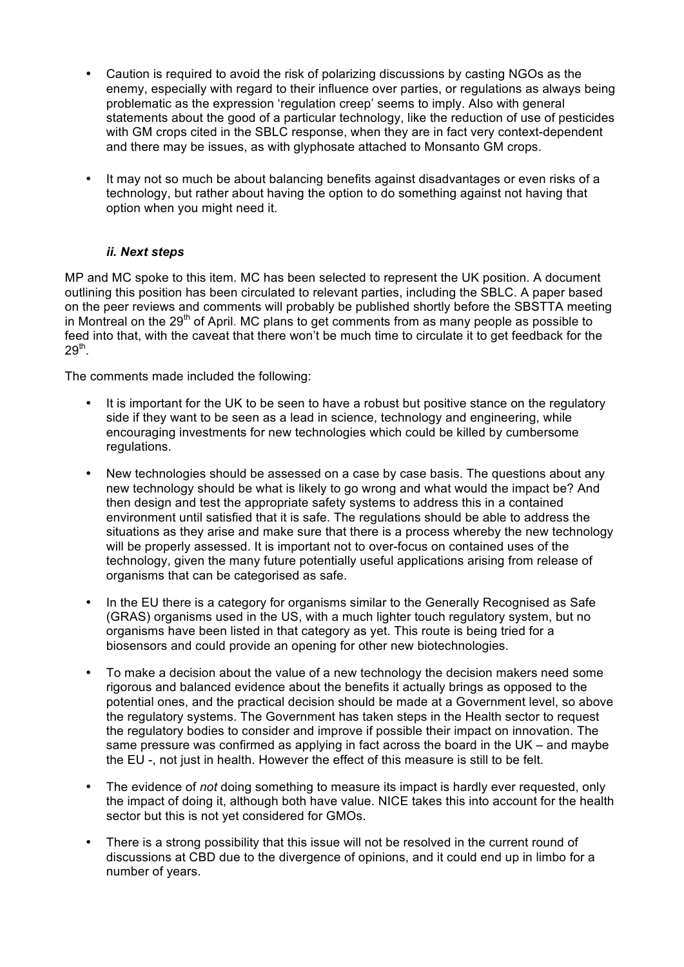- Caution is required to avoid the risk of polarizing discussions by casting NGOs as the enemy, especially with regard to their influence over parties, or regulations as always being problematic as the expression 'regulation creep' seems to imply. Also with general statements about the good of a particular technology, like the reduction of use of pesticides with GM crops cited in the SBLC response, when they are in fact very context-dependent and there may be issues, as with glyphosate attached to Monsanto GM crops.
- It may not so much be about balancing benefits against disadvantages or even risks of a technology, but rather about having the option to do something against not having that option when you might need it.

## *ii. Next steps*

MP and MC spoke to this item. MC has been selected to represent the UK position. A document outlining this position has been circulated to relevant parties, including the SBLC. A paper based on the peer reviews and comments will probably be published shortly before the SBSTTA meeting in Montreal on the  $29<sup>th</sup>$  of April. MC plans to get comments from as many people as possible to feed into that, with the caveat that there won't be much time to circulate it to get feedback for the  $29<sup>th</sup>$ .

The comments made included the following:

- It is important for the UK to be seen to have a robust but positive stance on the regulatory side if they want to be seen as a lead in science, technology and engineering, while encouraging investments for new technologies which could be killed by cumbersome regulations.
- New technologies should be assessed on a case by case basis. The questions about any new technology should be what is likely to go wrong and what would the impact be? And then design and test the appropriate safety systems to address this in a contained environment until satisfied that it is safe. The regulations should be able to address the situations as they arise and make sure that there is a process whereby the new technology will be properly assessed. It is important not to over-focus on contained uses of the technology, given the many future potentially useful applications arising from release of organisms that can be categorised as safe.
- In the EU there is a category for organisms similar to the Generally Recognised as Safe (GRAS) organisms used in the US, with a much lighter touch regulatory system, but no organisms have been listed in that category as yet. This route is being tried for a biosensors and could provide an opening for other new biotechnologies.
- To make a decision about the value of a new technology the decision makers need some rigorous and balanced evidence about the benefits it actually brings as opposed to the potential ones, and the practical decision should be made at a Government level, so above the regulatory systems. The Government has taken steps in the Health sector to request the regulatory bodies to consider and improve if possible their impact on innovation. The same pressure was confirmed as applying in fact across the board in the UK – and maybe the EU -, not just in health. However the effect of this measure is still to be felt.
- The evidence of *not* doing something to measure its impact is hardly ever requested, only the impact of doing it, although both have value. NICE takes this into account for the health sector but this is not yet considered for GMOs.
- There is a strong possibility that this issue will not be resolved in the current round of discussions at CBD due to the divergence of opinions, and it could end up in limbo for a number of years.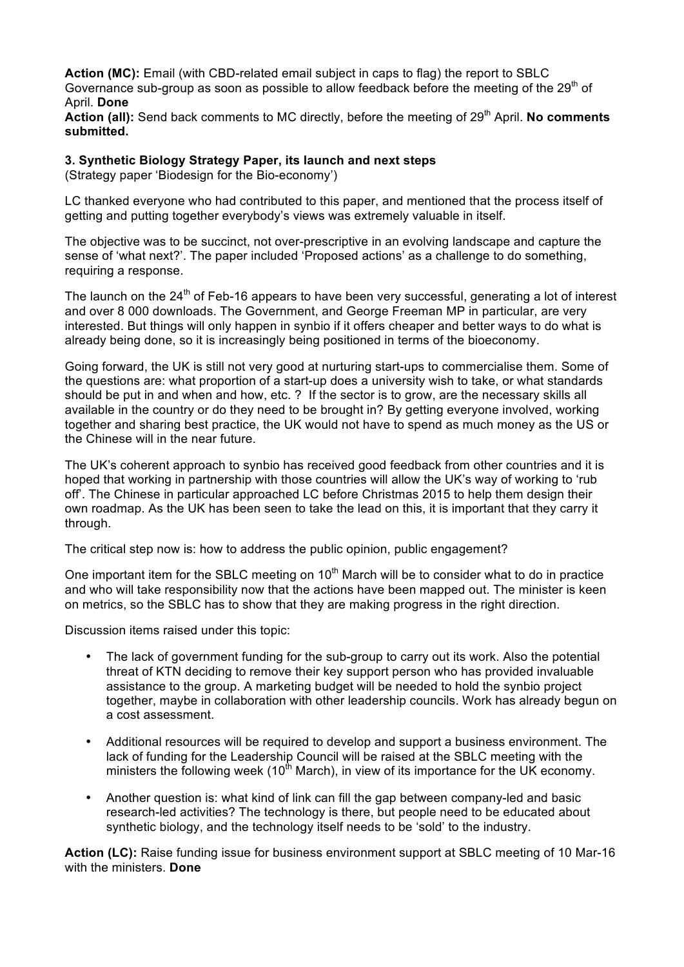**Action (MC):** Email (with CBD-related email subject in caps to flag) the report to SBLC Governance sub-group as soon as possible to allow feedback before the meeting of the 29<sup>th</sup> of April. **Done**

Action (all): Send back comments to MC directly, before the meeting of 29<sup>th</sup> April. No comments **submitted.**

### **3. Synthetic Biology Strategy Paper, its launch and next steps**

(Strategy paper 'Biodesign for the Bio-economy')

LC thanked everyone who had contributed to this paper, and mentioned that the process itself of getting and putting together everybody's views was extremely valuable in itself.

The objective was to be succinct, not over-prescriptive in an evolving landscape and capture the sense of 'what next?'. The paper included 'Proposed actions' as a challenge to do something, requiring a response.

The launch on the  $24<sup>th</sup>$  of Feb-16 appears to have been very successful, generating a lot of interest and over 8 000 downloads. The Government, and George Freeman MP in particular, are very interested. But things will only happen in synbio if it offers cheaper and better ways to do what is already being done, so it is increasingly being positioned in terms of the bioeconomy.

Going forward, the UK is still not very good at nurturing start-ups to commercialise them. Some of the questions are: what proportion of a start-up does a university wish to take, or what standards should be put in and when and how, etc. ? If the sector is to grow, are the necessary skills all available in the country or do they need to be brought in? By getting everyone involved, working together and sharing best practice, the UK would not have to spend as much money as the US or the Chinese will in the near future.

The UK's coherent approach to synbio has received good feedback from other countries and it is hoped that working in partnership with those countries will allow the UK's way of working to 'rub off'. The Chinese in particular approached LC before Christmas 2015 to help them design their own roadmap. As the UK has been seen to take the lead on this, it is important that they carry it through.

The critical step now is: how to address the public opinion, public engagement?

One important item for the SBLC meeting on  $10<sup>th</sup>$  March will be to consider what to do in practice and who will take responsibility now that the actions have been mapped out. The minister is keen on metrics, so the SBLC has to show that they are making progress in the right direction.

Discussion items raised under this topic:

- The lack of government funding for the sub-group to carry out its work. Also the potential threat of KTN deciding to remove their key support person who has provided invaluable assistance to the group. A marketing budget will be needed to hold the synbio project together, maybe in collaboration with other leadership councils. Work has already begun on a cost assessment.
- Additional resources will be required to develop and support a business environment. The lack of funding for the Leadership Council will be raised at the SBLC meeting with the ministers the following week  $(10<sup>th</sup> March)$ , in view of its importance for the UK economy.
- Another question is: what kind of link can fill the gap between company-led and basic research-led activities? The technology is there, but people need to be educated about synthetic biology, and the technology itself needs to be 'sold' to the industry.

**Action (LC):** Raise funding issue for business environment support at SBLC meeting of 10 Mar-16 with the ministers. **Done**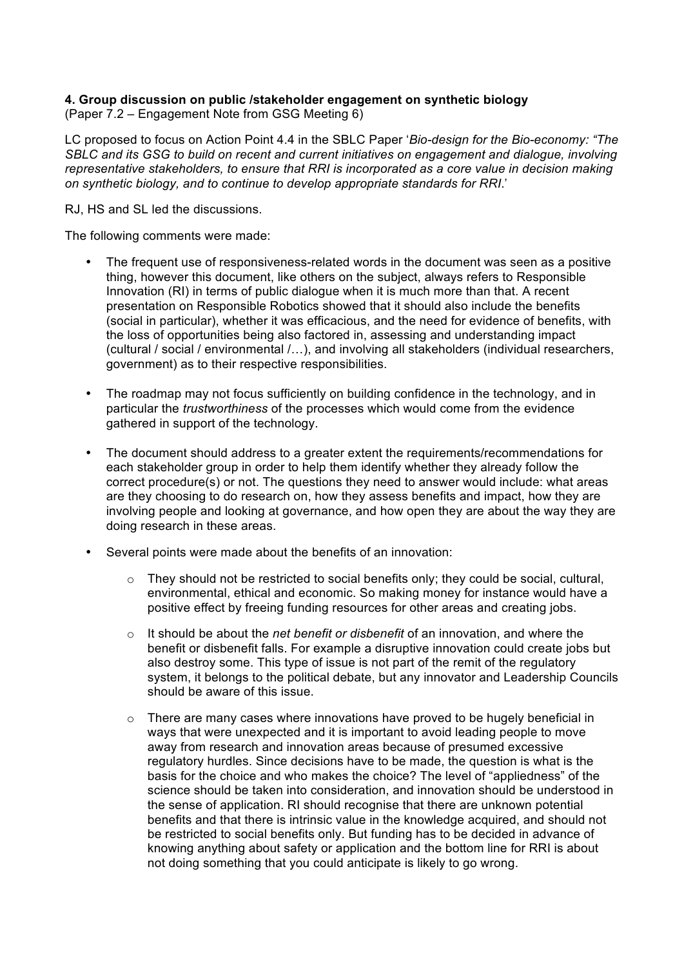## **4. Group discussion on public /stakeholder engagement on synthetic biology**

(Paper 7.2 – Engagement Note from GSG Meeting 6)

LC proposed to focus on Action Point 4.4 in the SBLC Paper '*Bio-design for the Bio-economy: "The SBLC and its GSG to build on recent and current initiatives on engagement and dialogue, involving representative stakeholders, to ensure that RRI is incorporated as a core value in decision making on synthetic biology, and to continue to develop appropriate standards for RRI*.'

RJ, HS and SL led the discussions.

The following comments were made:

- The frequent use of responsiveness-related words in the document was seen as a positive thing, however this document, like others on the subject, always refers to Responsible Innovation (RI) in terms of public dialogue when it is much more than that. A recent presentation on Responsible Robotics showed that it should also include the benefits (social in particular), whether it was efficacious, and the need for evidence of benefits, with the loss of opportunities being also factored in, assessing and understanding impact (cultural / social / environmental /…), and involving all stakeholders (individual researchers, government) as to their respective responsibilities.
- The roadmap may not focus sufficiently on building confidence in the technology, and in particular the *trustworthiness* of the processes which would come from the evidence gathered in support of the technology.
- The document should address to a greater extent the requirements/recommendations for each stakeholder group in order to help them identify whether they already follow the correct procedure(s) or not. The questions they need to answer would include: what areas are they choosing to do research on, how they assess benefits and impact, how they are involving people and looking at governance, and how open they are about the way they are doing research in these areas.
- Several points were made about the benefits of an innovation:
	- $\circ$  They should not be restricted to social benefits only; they could be social, cultural, environmental, ethical and economic. So making money for instance would have a positive effect by freeing funding resources for other areas and creating jobs.
	- o It should be about the *net benefit or disbenefit* of an innovation, and where the benefit or disbenefit falls. For example a disruptive innovation could create jobs but also destroy some. This type of issue is not part of the remit of the regulatory system, it belongs to the political debate, but any innovator and Leadership Councils should be aware of this issue.
	- $\circ$  There are many cases where innovations have proved to be hugely beneficial in ways that were unexpected and it is important to avoid leading people to move away from research and innovation areas because of presumed excessive regulatory hurdles. Since decisions have to be made, the question is what is the basis for the choice and who makes the choice? The level of "appliedness" of the science should be taken into consideration, and innovation should be understood in the sense of application. RI should recognise that there are unknown potential benefits and that there is intrinsic value in the knowledge acquired, and should not be restricted to social benefits only. But funding has to be decided in advance of knowing anything about safety or application and the bottom line for RRI is about not doing something that you could anticipate is likely to go wrong.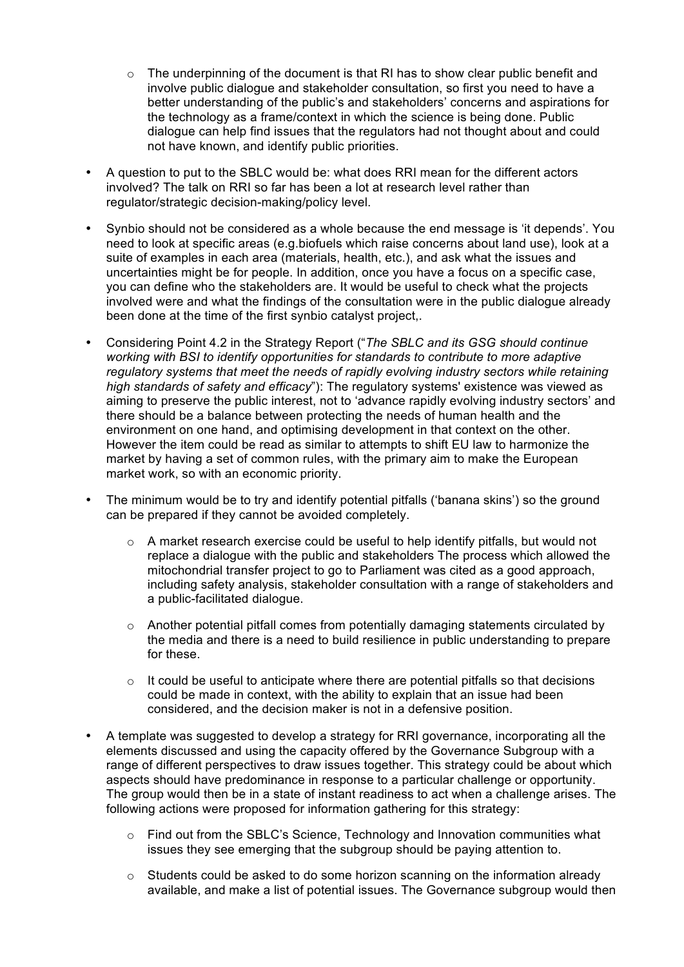- $\circ$  The underpinning of the document is that RI has to show clear public benefit and involve public dialogue and stakeholder consultation, so first you need to have a better understanding of the public's and stakeholders' concerns and aspirations for the technology as a frame/context in which the science is being done. Public dialogue can help find issues that the regulators had not thought about and could not have known, and identify public priorities.
- A question to put to the SBLC would be: what does RRI mean for the different actors involved? The talk on RRI so far has been a lot at research level rather than regulator/strategic decision-making/policy level.
- Synbio should not be considered as a whole because the end message is 'it depends'. You need to look at specific areas (e.g.biofuels which raise concerns about land use), look at a suite of examples in each area (materials, health, etc.), and ask what the issues and uncertainties might be for people. In addition, once you have a focus on a specific case, you can define who the stakeholders are. It would be useful to check what the projects involved were and what the findings of the consultation were in the public dialogue already been done at the time of the first synbio catalyst project,.
- Considering Point 4.2 in the Strategy Report ("*The SBLC and its GSG should continue working with BSI to identify opportunities for standards to contribute to more adaptive regulatory systems that meet the needs of rapidly evolving industry sectors while retaining high standards of safety and efficacy*"): The regulatory systems' existence was viewed as aiming to preserve the public interest, not to 'advance rapidly evolving industry sectors' and there should be a balance between protecting the needs of human health and the environment on one hand, and optimising development in that context on the other. However the item could be read as similar to attempts to shift EU law to harmonize the market by having a set of common rules, with the primary aim to make the European market work, so with an economic priority.
- The minimum would be to try and identify potential pitfalls ('banana skins') so the ground can be prepared if they cannot be avoided completely.
	- $\circ$  A market research exercise could be useful to help identify pitfalls, but would not replace a dialogue with the public and stakeholders The process which allowed the mitochondrial transfer project to go to Parliament was cited as a good approach, including safety analysis, stakeholder consultation with a range of stakeholders and a public-facilitated dialogue.
	- $\circ$  Another potential pitfall comes from potentially damaging statements circulated by the media and there is a need to build resilience in public understanding to prepare for these.
	- $\circ$  It could be useful to anticipate where there are potential pitfalls so that decisions could be made in context, with the ability to explain that an issue had been considered, and the decision maker is not in a defensive position.
- A template was suggested to develop a strategy for RRI governance, incorporating all the elements discussed and using the capacity offered by the Governance Subgroup with a range of different perspectives to draw issues together. This strategy could be about which aspects should have predominance in response to a particular challenge or opportunity. The group would then be in a state of instant readiness to act when a challenge arises. The following actions were proposed for information gathering for this strategy:
	- $\circ$  Find out from the SBLC's Science. Technology and Innovation communities what issues they see emerging that the subgroup should be paying attention to.
	- o Students could be asked to do some horizon scanning on the information already available, and make a list of potential issues. The Governance subgroup would then